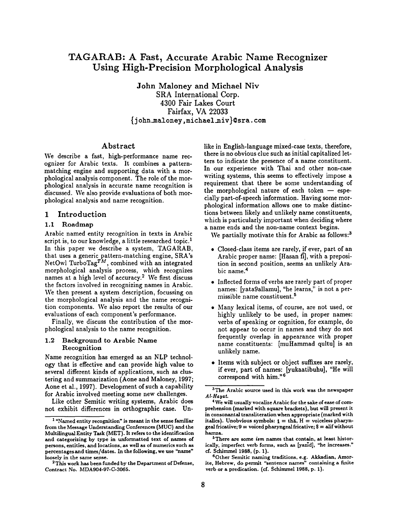# **TAGARAB: A Fast, Accurate Arabic Name Recognizer Using High-Precision Morphological Analysis**

John Maloney and Michael Niv SRA International Corp. 4300 Fair Lakes Court Fairfax, VA 22033 {j ohnunaloney, michael\_niv}@sra, **com** 

# Abstract

We describe a fast, high-performance name recognizer for Arabic texts. It combines a patternmatching engine and supporting data with a morphological analysis component. The role of the morphological analysis in accurate name recognition is discussed. We also provide evaluations of both morphological analysis and name recognition.

# 1 Introduction

# 1,1 Roadmap

Arabic named entity recognition in texts in Arabic script is, to our knowledge, a little researched topic.<sup>1</sup> In this paper we describe a system, TAGARAB, that uses a generic pattern-matching engine, SRA's NetOwl TurboTag $^{TM}$ , combined with an integrated morphological analysis process, which recognizes names at a high level of accuracy.<sup>2</sup> We first discuss the factors involved in recognizing names in Arabic. We then present a system description, focussing on the morphological analysis and the name recognition components. We also report the results of our evaluations of each component's performance.

Finally, we discuss the contribution of the morphological analysis to the name recognition.

### 1.2 Background to Arabic Name Recognition

Name recognition has emerged as an NLP technology that is effective and can provide high value to several different kinds of applications, such as clustering and summarization (Aone and Maloney, 1997; Aone et al., 1997). Development of such a capability for Arabic involved meeting some new challenges.

Like other Semitic writing systems, Arabic does not exhibit differences in orthographic case. Unlike in English-language mixed-case texts, therefore, there is no obvious clue such as initial capitalized letters to indicate the presence of a name constituent. In our experience with Thai and other non-case writing systems, this seems to effectively impose a requirement that there be some understanding of the morphological nature of each token  $-$  especially part-of-speech information. Having some morphological information allows one to make distinctions between likely and unlikely name constituents, which is particularly important when deciding where a name ends and the non-name context begins.

We partially motivate this for Arabic as follows:<sup>3</sup>

- Closed-class items are rarely, if ever, part of an Arabic proper name: [Hasan fi], with a preposition in second position, seems an unlikely Arabic name. 4
- Inflected forms of verbs are rarely part of proper names: [yata9allamu], *"he* learns," is not a permissible name constituent. 5
- Many lexical items, of course, are not used, or highly unlikely to be used, in proper names: verbs of speaking or cognition, for example, do not appear to occur in names and they do not frequently overlap in appearance with proper name constituents: [muHammad qultu] is an unlikely name.
- Items with subject or object suffixes are rarely, if ever, part of names: [yukaatibuhu], "He will correspond with him. ''6

<sup>5</sup>There are some *ism* names that contain, at least historically, imperfect verb forms, such as [yazid], "he increases." cf. Schimmel **1988, (p. 1).** 

6Other Semitic naming traditions, e.g. Akkadian, Amorite, Hebrew, do permit "sentence names" containing a finite verb or a predication. (cf. Schimmel 1988, p. 1).

<sup>1 &</sup>quot;Named entity recognition" is meant in the sense familiar from the Message Understanding Conferences (MUC) and the Muhilingual Entity Task (MET). It refers to the identification and categorizing by type in unformatted text of names of persons, entities, and locations, as well as of numerics such as percentages and times/dates. In the following, we use "name" loosely in the same **sense.** 

<sup>&</sup>lt;sup>2</sup> This work has been funded by the Department of Defense, Contract No. MDA904-97-C-3065.

<sup>&</sup>lt;sup>3</sup>The Arabic source used in this work was the newspaper *AI-Hayat* 

<sup>4</sup> We will usually vocalize Arabic for the sake of ease of comprehension (marked with square brackets), but will present it in consonantal transliteration when appropriate (marked with italics). Unobvious symbols:  $t = th\bar{a}$ ,  $H =$  voiceless pharyngeal fricative;  $9 =$  voiced pharyngeal fricative;  $$ =$  alif without hamza.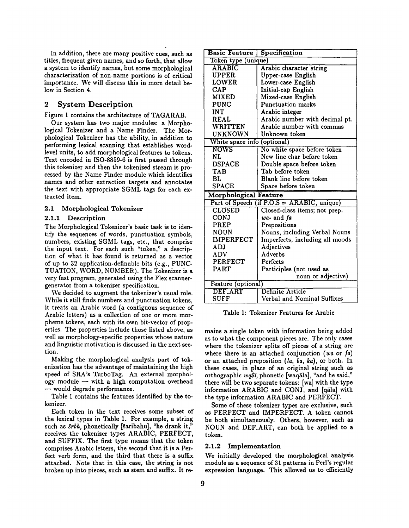In addition, there are many positive cues, such as titles, frequent given names, and so forth, that allow a system to identify names, but some morphological characterization of non-name portions is of critical importance. We will discuss this in more detail below in Section 4.

# 2 System Description

Figure 1 contains the architecture of TAGARAB.

Our system has two major modules: a Morphological Tokenizer and a Name Finder. The Morphological Tokenizer has the ability, in addition to performing lexical scanning that establishes wordlevel units, to add morphological features to tokens. Text encoded in ISO-8859-6 is first passed through this tokenizer and then the tokenized stream is processed by the Name Finder module which identifies names and other extraction targets and annotates the text with appropriate SGML tags for each extracted item.

# 2.1 Morphological Tokenizer

#### 2.1.1 Description

The Morphological Tokenizer's basic task is to identify the sequences of words, punctuation symbols, numbers, existing SGML tags, etc., that comprise the input text. For each such "token," a description of what it has found is returned as a vector of up to 32 application-definable bits (e.g., PUNC-TUATION, WORD, NUMBER). The Tokenizer is a very fast program, generated using the Flex scannergenerator from a tokenizer specification.

We decided to augment the tokenizer's usual role. While it still finds numbers and punctuation tokens, it treats an Arabic word (a contiguous sequence of Arabic letters) as a collection of one or more morpheme tokens, each with its own bit-vector of properties. The properties include those listed above, as well as morphology-specific properties whose nature and linguistic motivation is discussed in the next section.

Making the morphological analysis part of tokenization has the advantage of maintaining the high speed of SRA's TurboTag. An external morphology module  $-$  with a high computation overhead **--** would degrade performance.

Table 1 contains the features identified by the tokenizer.

Each token in the text receives some subset of the lexical types in Table 1. For example, a string such as *šrbh*, phonetically [saribahu], "he drank it," receives the tokenizer types ARABIC, PERFECT, and SUFFIX. The first type means that the token comprises Arabic letters, the second that it is a Perfect verb form, and the third that there is a suffix attached. Note that in this case, the string is not broken up into pieces, such as stem and suffix. It re-

| <b>Basic Feature</b>         | Specification                              |
|------------------------------|--------------------------------------------|
| Token type (unique)          |                                            |
| <b>ARABIC</b>                | Arabic character string                    |
| <b>UPPER</b>                 | Upper-case English                         |
| LOWER                        | Lower-case English                         |
| <b>CAP</b>                   | Initial-cap English                        |
| <b>MIXED</b>                 | Mixed-case English                         |
| <b>PUNC</b>                  | <b>Punctuation marks</b>                   |
| INT                          | Arabic integer                             |
| <b>REAL</b>                  | Arabic number with decimal pt.             |
| WRITTEN                      | Arabic number with commas                  |
| UNKNOWN                      | Unknown token                              |
| White space info (optional)  |                                            |
| NOWS                         | No white space before token                |
| NL                           | New line char before token                 |
| <b>DSPACE</b>                | Double space before token                  |
| <b>TAB</b>                   | Tab before token                           |
| BL                           | Blank line before token                    |
| <b>SPACE</b>                 | Space before token                         |
| <b>Morphological Feature</b> |                                            |
|                              | Part of Speech (if P.O.S = ARABIC, unique) |
| <b>CLOSED</b>                | Closed-class items; not prep.              |
| CONJ                         | wa- and fa                                 |
| PREP                         | Prepositions                               |
| NOUN                         | Nouns, including Verbal Nouns              |
| <b>IMPERFECT</b>             | Imperfects, including all moods            |
| ADJ                          | Adjectives                                 |
| ADV                          | Adverbs                                    |
| PERFECT                      | Perfects                                   |
| <b>PART</b>                  | Participles (not used as                   |
|                              | noun or adjective)                         |
| Feature (optional)           |                                            |
| <b>DEF ART</b>               | Definite Article                           |
| SUFF                         | Verbal and Nominal Suffixes                |

Table 1: Tokenizer Features for Arabic

mains a single token with information being added as to what the component pieces are. The only cases where the tokenizer splits off pieces of a string are where there is an attached conjunction *(wa* or fa) or an attached preposition *(la, ba, ka),* or both. In these cases, in place of an original string such as orthographic *wq\$1,* phonetic [waq£1a], "and he said," there will he two separate tokens: [wa] with the type information ARABIC and CONJ, and [qala] with the type information ARABIC and PERFECT.

Some of these tokenizer types are exclusive, such as PERFECT and IMPERFECT. A token cannot be both simultaneously. Others, however, such as NOUN and DEF\_ART, can both be applied to a token.

#### 2.1.2 Implementation

We initially developed the morphological analysis module as a sequence of 31 patterns in Perl's regular expression language. This allowed us to efficiently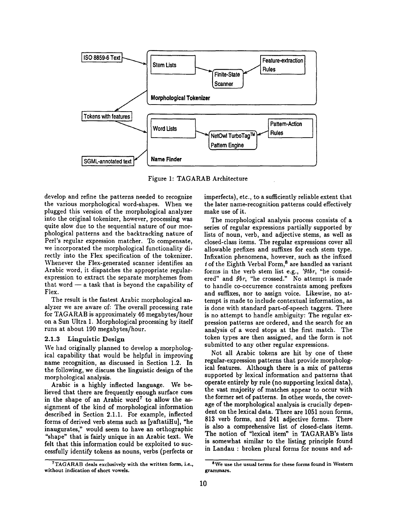

Figure 1: TAGARAB Architecture

develop and refine the patterns needed to recognize the various morphological word-shapes. When we plugged this version of the morphological analyzer into the original tokenizer, however, processing was quite slow due to the sequential nature of our morphological patterns and the backtracking nature of Perl's regular expression matcher. To compensate, we incorporated the morphological functionality directly into the Flex specification of the tokenizer. Whenever the Flex-generated scanner identifies an Arabic word, it dispatches the appropriate regularexpression to extract the separate morphemes from that word  $-$  a task that is beyond the capability of Flex.

The result is the fastest Arabic morphological analyzer we are aware of: The overall processing rate for TAGARAB is approximately 46 megabytes/hour on a Sun Ultra 1. Morphological processing by itself runs at about 190 megabytes/hour.

#### 2.1.3 Linguistic Design

We had originally planned to develop a morphological capability that would be helpful in improving name recognition, as discussed in Section 1.2. In the following, we discuss the linguistic design of the morphological analysis.

Arabic is a highly inflected language. We believed that there are frequently enough surface cues in the shape of an Arabic word<sup>7</sup> to allow the assignment of the kind of morphological information described in Section 2.1.1. For example, inflected forms of derived verb stems such as [yaftatiHu], "he inaugurates," would seem to have an orthographic "shape" that is fairly unique in an Arabic text. We felt that this information could be exploited to suecessfully identify tokens as nouns, verbs (perfects or

<sup>7</sup>TAGARAB deals exclusively with the written form, i.e., without indication of **short vowels.** 

imperfects), etc., to a sufficiently reliable extent that the later name-recognition patterns could effectively make use of it.

The morphological analysis process consists of a series of regular expressions partially supported by lists of noun, verb, and adjective stems, as well as closed-class items. The regular expressions cover all allowable prefixes and suffixes for each stem type. Infixation phenomena, however, such as the infixed  $t$  of the Eighth Verbal Form,<sup>8</sup> are handled as variant forms in the verb stem list e.g., *'gtbr,* "he considered" and *9br,* "he crossed." No attempt is made to handle co-occurrence constraints among prefixes and suffixes, nor to assign voice. Likewise, no attempt is made to include contextual information, as is done with standard part-of-speech taggers. There is no attempt to handle ambiguity: The regular expression patterns are ordered, and the search for an analysis of a word stops at the first match. The token types are then assigned, and the form is not submitted to any other regular expressions.

Not all Arabic tokens are hit by one of these regular-expression patterns that provide morphological features. Although there is a mix of patterns supported by lexical information and patterns that operate entirely by rule (no supporting lexical data), the vast majority of matches appear to occur with the former set of patterns. In other words, the coverage of the morphological analysis is crucially dependent on the lexical data. There are 1051 noun forms, 813 verb forms, and 241 adjective forms. There is also a comprehensive list of closed-class items. The notion of "lexical item" in TAGARAB's lists is somewhat similar to the listing principle found in Landau : broken plural forms for nouns and ad-

**SWe use the** usual terms for these forms found in **Western**  grammars.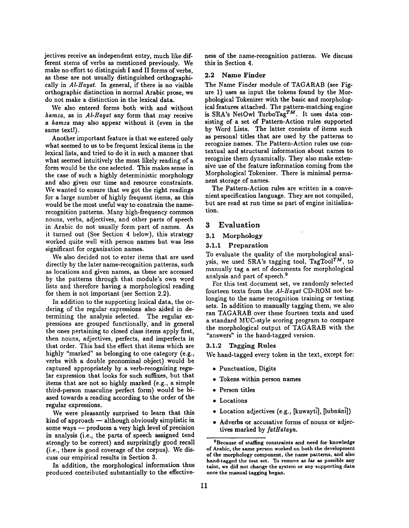jectives receive an independent entry, much like different stems of verbs as mentioned previously. We make no effort to distinguish I and II forms of verbs, as these are not usually distinguished orthographically in *AI-Hayat.* In general, if there is no visible orthographic distinction in normal Arabic prose, we do not make a distinction in the lexical data.

We also entered forms both with and without *hamza, as* in *AbHayat* any form that may receive *a hamza* may also appear without it (even in **the**  same text!).

Another important feature is that we entered only what seemed to us to be frequent lexical items in the lexical lists, and tried to do it in such a manner that what seemed intuitively the most likely reading of a form would be the one selected. This makes sense in the case of such a highly deterministic morphology and also given our time and resource constraints. We wanted to ensure that we got the right readings for a large number of highly frequent items, as this would be the most useful way to constrain the namerecognition patterns. Many high-frequency common nouns, verbs, adjectives, and other parts of speech in Arabic do not usually form part of names. As it turned out (See Section 4 below), this strategy worked quite well with person names but was less significant for organization names.

We also decided not to enter items that are used directly by the later name-recognition patterns, such as locations and given names, as these are accessed by the patterns through that module's own word lists and therefore having a morphological reading for them is not important (see Section 2.2).

In addition to the supporting lexical data, the ordering of the regular expressions also aided in determining the analysis selected. The regular expressions are grouped functionally, and in general the ones pertaining to closed class items apply first, then nouns, adjectives, perfects, and imperfects in that order. This had the effect that items which are highly "marked" as belonging to one category (e.g., verbs with a double pronominal object) would be captured appropriately by a verb-recognizing regular expression that looks for such suffixes, but that items that are not so highly marked (e.g., a simple third-person masculine perfect form) would be biased towards a reading according to the order of the regular expressions.

We were pleasantly surprised to learn that this  $\sin\theta$  of approach  $-$  although obviously simplistic in some ways -- produces a very high level of precision in analysis (i.e., the parts of speech assigned tend strongly to be correct) and surprisingly good recall (i.e., there is good coverage of the corpus). We discuss our empirical results in Section 3.

In addition, the morphological information thus produced contributed substantially to the effectiveness of the name-recognition patterns. We discuss this in Section 4.

#### 2.2 Name Finder

The Name Finder module of TAGARAB (see Figure 1) uses as input the tokens found by the Morphological Tokenizer with the basic and morphological features attached. The pattern-matching engine is SRA's NetOwl TurboTag<sup>TM</sup>. It uses data consisting of a set of Pattern-Action rules supported by Word Lists. The latter consists of items such as personal titles that are used by the patterns to recognize names. The Pattern-Action rules use contextual and structural information about names to recognize them dynamically. They also make extensive use of the feature information coming from the Morphological Tokenizer. There is minimal permanent storage of names.

The Pattern-Action rules are written in a convenient specification language. They are not compiled, but are read at run time as part of engine initialization.

### 3 Evaluation

#### 3.1 Morphology

# 3.1.1 Preparation

To evaluate the quality of the morphological analysis, we used SRA's tagging tool, TagTool $^{TM}$ , to manually tag a set of documents for morphological analysis and part of speech.<sup>9</sup>

For this test document set, we randomly selected fourteen texts from the *AI-Hayat* CD-ROM not belonging to the name recognition training or testing sets. In addition to manually tagging them, we also ran TAGARAB over these fourteen texts and used a standard MUC-style scoring program to compare the morphological output of TAGARAB with the "answers" in the hand-tagged version.

# 3.1.2 Tagging Rules

We hand-tagged every token in the text, except for:

- Punctuation, Digits
- Tokens within person names
- Person titles
- Locations
- Location adjectives (e.g., [kuwayti], [lubnāni])
- Adverbs or accusative forms of nouns or adjectives marked by *fatHafayn.*

<sup>&</sup>lt;sup>9</sup>Because of staffing constraints and need for knowledge **of Arabic, the** same person worked on both **the development of the** morphology component, the name patterns, and also **hand-tagged the test set. To remove** as far as possible any taint, we did not change **the system** or any supporting **data**  once the manual tagging began.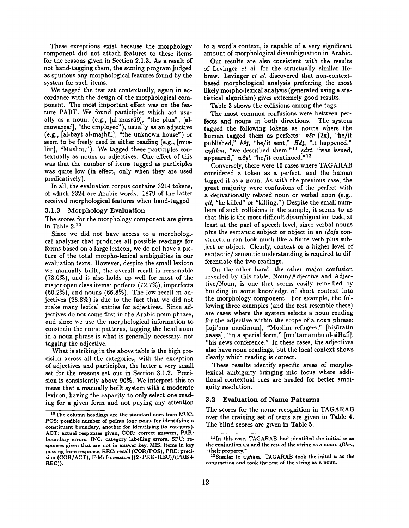These exceptions exist because the morphology component did not attach features to these items for the reasons given in Section 2.1.3. As a result of not hand-tagging them, the scoring program judged as spurious any morphological features found by the system for such items.

We tagged the test set contextually, again in accordance with the design of the morphological component. The most important effect was on the feature PART. We found participles which act usually as a noun, (e.g., [al-mašrū9], "the plan", [almuwazzaf], "the employee"), usually as an adjective (e.g., [al-bayt al-majhūl], "the unknown house") or seem to be freely used in either reading (e.g., [muslim], "Muslim,"). We tagged these participles contextually as nouns or adjectives. One effect of this was that the number of items tagged as participles was quite low (in effect, only when they are used predicatively).

In all, the evaluation corpus contains 3214 tokens, of which 2324 are Arabic words. 1879 of the latter received morphological features when hand-tagged.

#### 3.1.3 Morphology Evaluation

The scores for the morphology component are given in Table 2.<sup>10</sup>

Since we did not have access to a morphological analyzer that produces all possible readings for forms based on a large lexicon, we do not have a picture of the total morpho-lexical ambiguities in our evaluation texts. However, despite the small lexicon we manually built, the overall recall is reasonable (73.0%), and it also holds up well for most of the major open class items: perfects (72.7%), imperfects  $(60.2\%)$ , and nouns  $(66.8\%)$ . The low recall in adjectives (28.8%) is due to the fact that we did not make many lexical entries for adjectives. Since adjectives do not come first in the Arabic noun phrase, and since we use the morphological information to constrain the name patterns, tagging the head noun in a noun phrase is what is generally necessary, not tagging the adjective.

What is striking in the above table is the high precision across all the categories, with the exception of adjectives and participles, the latter a very small set for the reasons set out in Section 3.1.2. Precision is consistently above 90%. We interpret this to mean that a manually built system with a moderate lexicon, having the capacity to only select one reading for a given form and not paying any attention

to a word's context, is capable of a very significant amount of morphological disambiguation in Arabic.

Our results are also consistent with the results of Levinger *et al.* for the structually similar Hebrew. Levinger *et ai.* discovered that non-contextbased morphological analysis preferring the most likely morpho-lexical analysis (generated using a statistical algorithm) gives extremely good results.

Table 3 shows the collisions among the tags.

The most common confusions were between perfects and nouns in both directions. The system tagged the following tokens as nouns where the human tagged them as perfects:  $n\bar{s}r$  (2x), "he/it published," *bgJ,* "he/it sent," Hd\_t, "it happened," wsfthm, "we described them,"<sup>11</sup> sdrt, "was issued, appeared," wSsl, "he/it continued."<sup>12</sup>

Conversely, there were 16 cases where TAGARAB considered a token as a perfect, and the human tagged it as a noun. As with the previous case, the great majority were confusions of the perfect with a derivationally related noun or verbal noun (e.g., *qtl,* "he killed" or "killing.") Despite the small numbers of such collisions in the sample, it seems to us that this is the most difficult disambiguation task, at least at the part of speech level, since verbal nouns plus the semantic subject or object in an *idafa* construction can look much like a finite verb plus subject or object. Clearly, context or a higher level of syntactic/semantic understanding is required to differentiate the two readings.

On the other hand, the other major confusion revealed by this table, Noun/Adjective and Adjective/Noun, is one that seems easily remedied by building in some knowledge of short context into the morphology component. For example, the following three examples (and the rest resemble these) are cases where the system selects a noun reading for the adjective within the scope of a noun phrase: [lāji'ūna muslimūn], "Muslim refugees," [bisūratin xaasa], "in a special form," [mu'tamaruhu al-siHāfi], "his news conference." In these cases, the adjectives also have noun readings, but the local context shows clearly which reading is correct.

These results identify specific areas of morpholexical ambiguity bringing into focus where additional contextual cues are needed for better ambiguity resolution.

#### **3.2 Evaluation of Name** Patterns

The scores for the name recognition in TAGARAB over the training set of texts are given in Table 4. The blind scores are given in Table 5.

<sup>&</sup>lt;sup>10</sup>The column headings are the standard ones from MUC: **POS:** possible number of points (one **point for** identifying a constituent boundary, another for identifying its category), ACT: actual responses given, COR: correct answers, PAR: boundary errors, INC: category labelling errors, SPU: responses **given** that are not in answer key, MIS: items in key missing from response, REC: recall (COR/POS), PRE: precision (COR/ACT), F-M: f-measure  $((2 \cdot PRE \cdot REC)/(PRE +$ REC)).

 $11$ In this case, TAGARAB had identified the initial  $w$  as the conjuntion wa and the rest of the string as a noun,  $\frac{sfthm}{}$ , "their property."

<sup>&</sup>lt;sup>12</sup> Similar to wsfthm. TAGARAB took the inital w as the conjunction and took the rest **of the** string as a noun.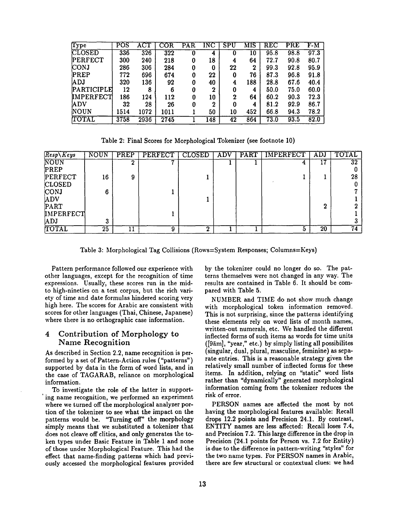| $\mathrm{Type}$ | POS  | <b>ACT</b> | $\overline{\text{COR}}$     | PAR | $\overline{\text{INC}}$ | ${\tt SPU}$ | MIS | ${\tt REC}$ | <b>PRE</b> | $F-M$ |
|-----------------|------|------------|-----------------------------|-----|-------------------------|-------------|-----|-------------|------------|-------|
| CLOSED          | 336  | 326        | $\overline{3}\overline{2}2$ | 0   | 4                       |             | 10  | 95.8        | 98.8       | 97.3  |
| PERFECT         | 300  | 240        | 218                         | 0   | 18                      | 4           | 64  | 72.7        | 90.8       | 80.7  |
| CONJ            | 286  | 306        | 284                         | 0   | 0                       | $22\,$      | 2   | 99.3        | 92.8       | 95.9  |
| PREP            | 772  | 696        | 674                         | 0   | 22                      | 0           | 76  | 87.3        | 96.8       | 91.8  |
| <b>ADJ</b>      | 320  | 136        | 92                          | 0   | 40                      | 4           | 188 | 28.8        | 67.6       | 40.4  |
| PARTICIPLE      | 12   | 8          | 6                           | 0   | $\boldsymbol{2}$        | 0           | 4   | 50.0        | 75.0       | 60.0  |
| IMPERFECT       | 186  | 124        | 112                         |     | 10                      | 2           | 64  | 60.2        | 90.3       | 72.3  |
| <b>'ADV</b>     | 32   | 28         | 26                          | 0   | 2                       |             | 4   | 81.2        | 92.9       | 86.7  |
| NOUN            | 1514 | 1072       | 1011                        |     | 50                      | 10          | 452 | 66.8        | 94.3       | 78.2  |
| TOTAL           | 3758 | 2936       | 2745                        |     | 148                     | 42          | 864 | 73.0        | 93.5       | 82.0  |
|                 |      |            |                             |     |                         |             |     |             |            |       |

Table 2: Final Scores for Morphological Tokenizer (see footnote 10)

| $Resp\backslash Keys$ | <b>NOUN</b>     | PREP | <b>PERFECT</b> | <b>CLOSED</b> | <b>ADV</b> | PART | <b>IMPERFECT</b> | ADJ | TOTAL           |
|-----------------------|-----------------|------|----------------|---------------|------------|------|------------------|-----|-----------------|
| NOUN                  |                 |      |                |               |            |      |                  | 17  | $\overline{32}$ |
| PREP                  |                 |      |                |               |            |      |                  |     |                 |
| PERFECT               | 16              | 9    |                |               |            |      |                  |     | 28              |
| <b>CLOSED</b>         |                 |      |                |               |            |      |                  |     |                 |
| <b>CONJ</b>           | 6               |      |                |               |            |      |                  |     |                 |
| <b>ADV</b>            |                 |      |                |               |            |      |                  |     |                 |
| PART                  |                 |      |                |               |            |      |                  | ົ   |                 |
| <b>IMPERFECT</b>      |                 |      |                |               |            |      |                  |     |                 |
| ADJ                   |                 |      |                |               |            |      |                  |     |                 |
| TOTAL                 | $\overline{25}$ | 11   | 9              | ົ             |            |      |                  | 20  | $\overline{74}$ |

Table 3: Morphological Tag Collisions (Rows=System Responses; Columns=Keys)

Pattern performance followed our experience with other languages, except for the recognition of time expressions. Usually, these scores run in the midto high-nineties on a test corpus, but the rich variety of time and date formulas hindered scoring very high here. The scores for Arabic are consistent with scores for other languages (Thai, Chinese, Japanese) where there is no orthographic case information.

# **4 Contribution of Morphology to Name Recognition**

As described in Section 2.2, name recognition is performed by a set of Pattern-Action rules ("patterns") supported by data in the form of word lists, and in the case of TAGARAB, reliance on morphological information.

To investigate the role of the latter in support ing name recognition, we performed an experiment where we turned off the morphological analyzer portion of the tokenizer to see what the impact on the patterns would be. "Turning off" the morphology simply means that we substituted a tokenizer that does not cleave off clitics, and only generates the token types under Basic Feature in Table 1 and none of those under Morphological Feature. This had the effect that name-finding patterns which had previously accessed the morphological features provided by the tokenizer could no longer do so. The patterns themselves were not changed in any way. The results are contained in Table 6. It should be compared with Table 5.

NUMBER and TIME do not show much change with morphological token information removed. This is not surprising, since the patterns identifying these elements rely on word lists of month names, written-out numerals, etc. We handled the different inflected forms of such items as words for time units ( $[9\overline{a}m]$ , "year," etc.) by simply listing all possibilites (singular, dual, plural, masculine, feminine) as separate entries. This is a reasonable strategy given the relatively small number of inflected forms for these items. In addition, relying on "static" word lists rather than "dynamically" generated morphological information coming from the tokenizer reduces the risk of error.

PERSON names are affected the most by not having the morphological features available: Recall drops 12.2 points and Precision 24.1. By contrast, ENTITY names are less affected: Recall loses 7.4, and Precision 7.2. This large difference in the drop in Precision (24.1 points for Person vs. 7.2 for Entity) is due to the difference in pattern-writing "styles" for the two name types. For PERSON names in Arabic, there are few structural or contextual clues: we had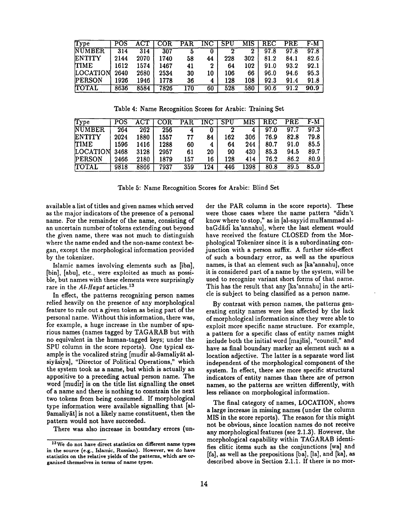| Type          | POS  |      | $\overline{COR}$ | <b>PAR</b> | INC | SPU | MIS | REC  | PRE  | F-M  |
|---------------|------|------|------------------|------------|-----|-----|-----|------|------|------|
| <b>NUMBER</b> | 314  | 314  | 307              |            |     |     | 2   | 97.8 | 97.8 | 97.8 |
| <b>ENTITY</b> | 2144 | 2070 | 1740             | 58         | 44  | 228 | 302 | 81.2 | 84.1 | 82.6 |
| <b>TIME</b>   | 1612 | 1574 | 1467             | 41         | 2   | 64  | 102 | 91.0 | 93.2 | 92.1 |
| LOCATION      | 2640 | 2680 | 2534             | 30         | 10  | 106 | 66  | 96.0 | 94.6 | 95.3 |
| <b>PERSON</b> | 1926 | 1946 | 1778             | 36         | 4   | 128 | 108 | 92.3 | 91.4 | 91.8 |
| <b>TOTAL</b>  | 8636 | 8584 | 7826             | l 70       | 60  | 528 | 580 | 90.6 | 91.2 | 90.9 |

Table 4: Name Recognition Scores for Arabic: Training Set

| Type          | <b>POS</b> | <b>ACT</b> | $\overline{\text{COR}}$ | <b>PAR</b> | INC | <b>SPU</b> | MIS  | $_{\rm REC}$ | PRE  | F-M  |
|---------------|------------|------------|-------------------------|------------|-----|------------|------|--------------|------|------|
| <b>NUMBER</b> | 264        | 262        | 256                     |            |     |            |      | 97.0         | 97.7 | 97.3 |
| <b>ENTITY</b> | 2024       | 1880       | 1557                    | 77         | 84  | 162        | 306  | 76.9         | 82.8 | 79.8 |
| <b>TIME</b>   | 1596       | 1416       | 1288                    | 60         | 4   | 64         | 244  | 80.7         | 91.0 | 85.5 |
| LOCATION      | 3468       | 3128       | 2957                    | 61         | 20  | 90         | 430  | 85.3         | 94.5 | 89.7 |
| PERSON        | 2466       | 2180       | 1879                    | 157        | 16  | 128        | 414  | 76.2         | 86.2 | 80.9 |
| TOTAL         | 9818       | 8866       | 7937                    | 359        | .24 | 446        | l398 | 80.8         | 89.5 | 85.0 |

Table 5: Name Recognition Scores for Arabic: Blind Set

available a list of titles and given names which served as the major indicators of the presence of a personal name. For the remainder of the name, consisting of an uncertain number of tokens extending out beyond the given name, there was not much to distinguish where the name ended and the non-name context began, except the morphological information provided by the tokenizer.

Islamic names involving elements such as [ibn], [bin], [abu], etc., were exploited as much as possible, but names with these elements were surprisingly rare in the *AI-Hayat* articles. 13

In effect, the patterns recognizing person names relied heavily on the presence of any morphological feature to rule out a given token as being part of the personal name. Without this information, there was, for example, a huge increase in the number of spurious names (names tagged by TAGARAB but with no equivalent in the human-tagged keys; under the SPU column in the score reports). One typical example is the vocalized string [mudir al-9amaliyat alsiyasiya], "Director of Political Operations," which the system took as a name, but which is actually an appositive to a preceding actual person name. The word [mudir] is on the title list signalling the onset of a name and there is nothing to constrain the next two tokens from being consumed. If morphological type information were available signalling that [al-9amaliyat] is not a likely name constituent, then the pattern would not have succeeded.

There was also increase in boundary errors (un-

der the PAR column in the score reports). These were those cases where the name pattern "didn't know where to stop," as in [al-sayyid muHammad albaGdadi ka'annahu], where the last element would have received the feature CLOSED from the Morphological Tokenizer since it is a subordinating conjunction with a person suffix. A further side-effect of such a boundary error, as well as the spurious names, is that an element such as [ka'annahu], once it is considered part of a name by the system, will be used to recognize variant short forms of that name. This has the result that any [ka'annahu] in the article is subject to being classified as a person name.

By contrast with person names, the patterns generating entity names were less affected by the lack of morphological information since they were able to exploit more specific name structure. For example, a pattern for a specific class of entity names might include both the initial word [majlis], "council," and have as final boundary marker an element such as a location adjective. The latter is a separate word list independent of the morphological component of the system. In effect, there are more specific structural indicators of entity names than there are of person names, so the patterns are written differently, with less reliance on morphological information.

The final category of names, LOCATION, shows a large increase in missing names (under the column MIS in the score reports). The reason for this might not be obvious, since location names do not receive any morphological features (see 2.1.3). However, the morphological capability within TAGARAB identifies clitic items such as the conjunctions [wa] and [fa], as well as the prepositions [ba], [la], and [ka], as described above in Section 2.1.1. If there is no mot-

 $13$ We do not have direct statistics on different name types in the source (e.g., Islamic, Russian). **However, we do have**  statistics on the relative yields of the patterns, which are organized themselves in terms of name types.